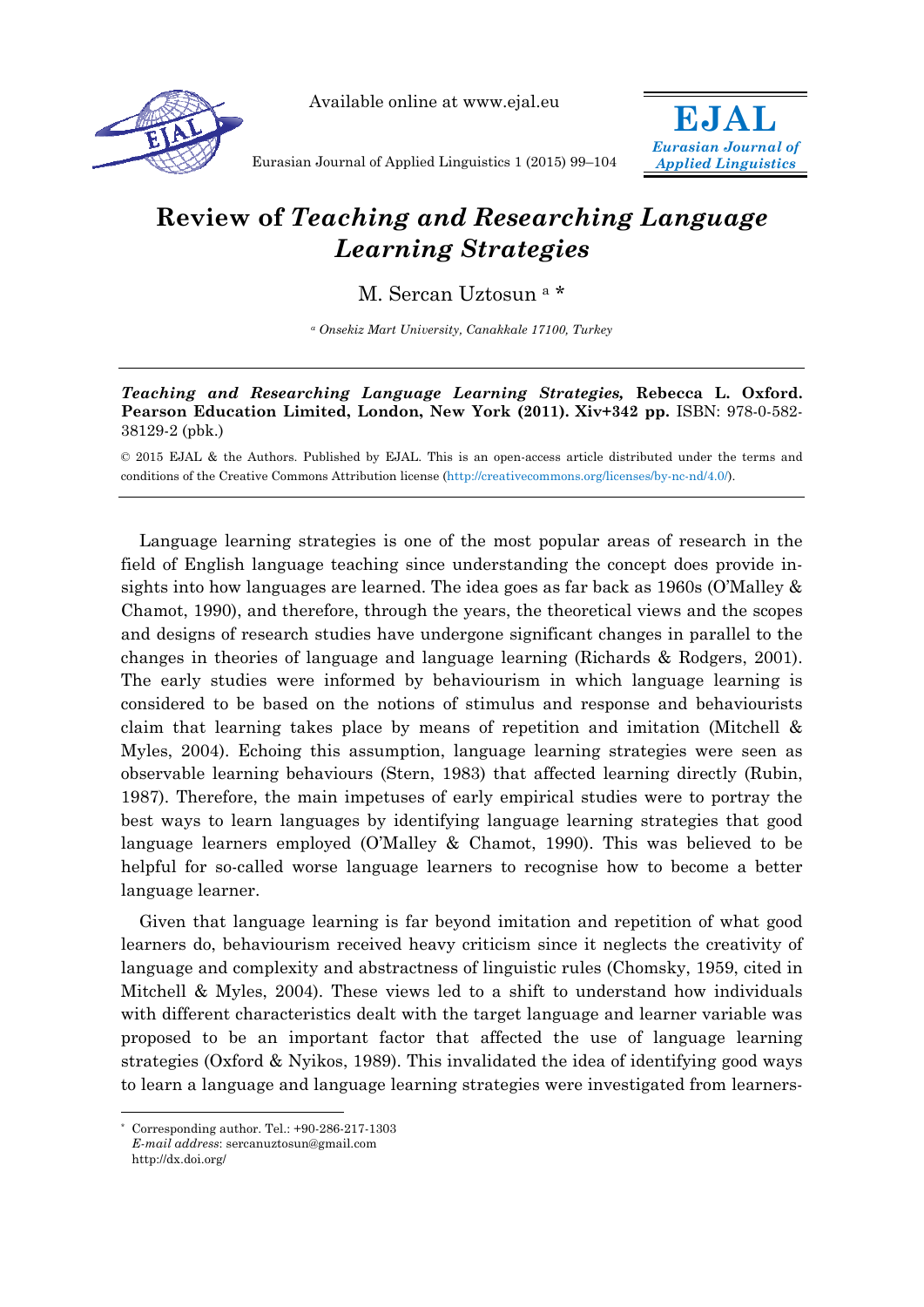

Available online at www.ejal.eu



Eurasian Journal of Applied Linguistics 1 (2015) 99–104

## **Review of** *Teaching and Researching Language Learning Strategies*

M. Sercan Uztosun a \*

*a Onsekiz Mart University, Canakkale 17100, Turkey* 

## *Teaching and Researching Language Learning Strategies,* **Rebecca L. Oxford. Pearson Education Limited, London, New York (2011). Xiv+342 pp. ISBN: 978-0-582-**38129-2 (pbk.)

© 2015 EJAL & the Authors. Published by EJAL. This is an open-access article distributed under the terms and conditions of the Creative Commons Attribution license (http://creativecommons.org/licenses/by-nc-nd/4.0/).

Language learning strategies is one of the most popular areas of research in the field of English language teaching since understanding the concept does provide insights into how languages are learned. The idea goes as far back as 1960s (O'Malley & Chamot, 1990), and therefore, through the years, the theoretical views and the scopes and designs of research studies have undergone significant changes in parallel to the changes in theories of language and language learning (Richards & Rodgers, 2001). The early studies were informed by behaviourism in which language learning is considered to be based on the notions of stimulus and response and behaviourists claim that learning takes place by means of repetition and imitation (Mitchell & Myles, 2004). Echoing this assumption, language learning strategies were seen as observable learning behaviours (Stern, 1983) that affected learning directly (Rubin, 1987). Therefore, the main impetuses of early empirical studies were to portray the best ways to learn languages by identifying language learning strategies that good language learners employed (O'Malley & Chamot, 1990). This was believed to be helpful for so-called worse language learners to recognise how to become a better language learner.

Given that language learning is far beyond imitation and repetition of what good learners do, behaviourism received heavy criticism since it neglects the creativity of language and complexity and abstractness of linguistic rules (Chomsky, 1959, cited in Mitchell & Myles, 2004). These views led to a shift to understand how individuals with different characteristics dealt with the target language and learner variable was proposed to be an important factor that affected the use of language learning strategies (Oxford & Nyikos, 1989). This invalidated the idea of identifying good ways to learn a language and language learning strategies were investigated from learners-

 $\overline{a}$ 

Corresponding author. Tel.:  $+90-286-217-1303$ *E-mail address*: sercanuztosun@gmail.com http://dx.doi.org/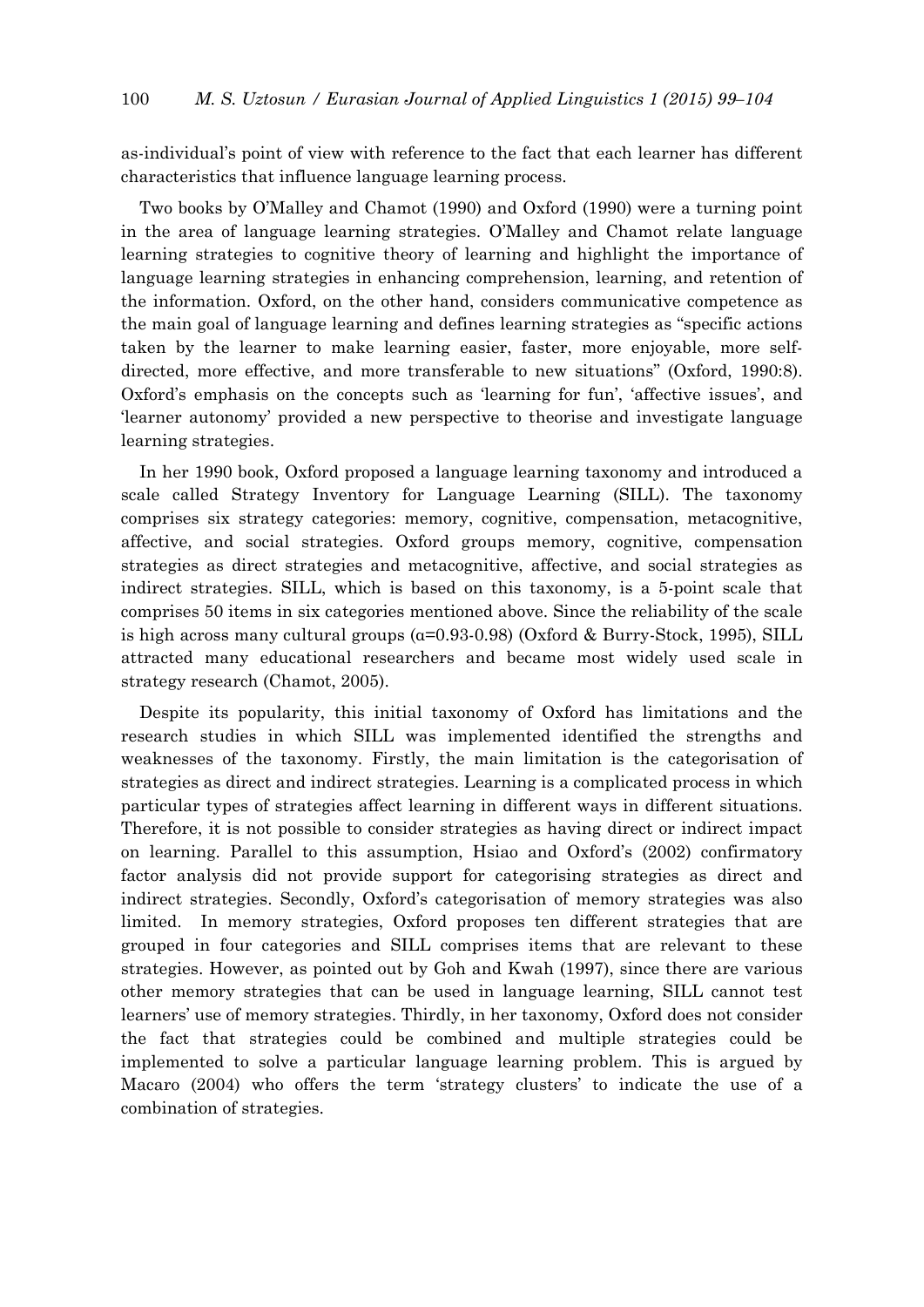as-individual's point of view with reference to the fact that each learner has different characteristics that influence language learning process.

Two books by O'Malley and Chamot (1990) and Oxford (1990) were a turning point in the area of language learning strategies. O'Malley and Chamot relate language learning strategies to cognitive theory of learning and highlight the importance of language learning strategies in enhancing comprehension, learning, and retention of the information. Oxford, on the other hand, considers communicative competence as the main goal of language learning and defines learning strategies as "specific actions taken by the learner to make learning easier, faster, more enjoyable, more selfdirected, more effective, and more transferable to new situations" (Oxford, 1990:8). Oxford's emphasis on the concepts such as 'learning for fun', 'affective issues', and 'learner autonomy' provided a new perspective to theorise and investigate language learning strategies.

In her 1990 book, Oxford proposed a language learning taxonomy and introduced a scale called Strategy Inventory for Language Learning (SILL). The taxonomy comprises six strategy categories: memory, cognitive, compensation, metacognitive, affective, and social strategies. Oxford groups memory, cognitive, compensation strategies as direct strategies and metacognitive, affective, and social strategies as indirect strategies. SILL, which is based on this taxonomy, is a 5-point scale that comprises 50 items in six categories mentioned above. Since the reliability of the scale is high across many cultural groups (α=0.93-0.98) (Oxford & Burry-Stock, 1995), SILL attracted many educational researchers and became most widely used scale in strategy research (Chamot, 2005).

Despite its popularity, this initial taxonomy of Oxford has limitations and the research studies in which SILL was implemented identified the strengths and weaknesses of the taxonomy. Firstly, the main limitation is the categorisation of strategies as direct and indirect strategies. Learning is a complicated process in which particular types of strategies affect learning in different ways in different situations. Therefore, it is not possible to consider strategies as having direct or indirect impact on learning. Parallel to this assumption, Hsiao and Oxford's (2002) confirmatory factor analysis did not provide support for categorising strategies as direct and indirect strategies. Secondly, Oxford's categorisation of memory strategies was also limited. In memory strategies, Oxford proposes ten different strategies that are grouped in four categories and SILL comprises items that are relevant to these strategies. However, as pointed out by Goh and Kwah (1997), since there are various other memory strategies that can be used in language learning, SILL cannot test learners' use of memory strategies. Thirdly, in her taxonomy, Oxford does not consider the fact that strategies could be combined and multiple strategies could be implemented to solve a particular language learning problem. This is argued by Macaro (2004) who offers the term 'strategy clusters' to indicate the use of a combination of strategies.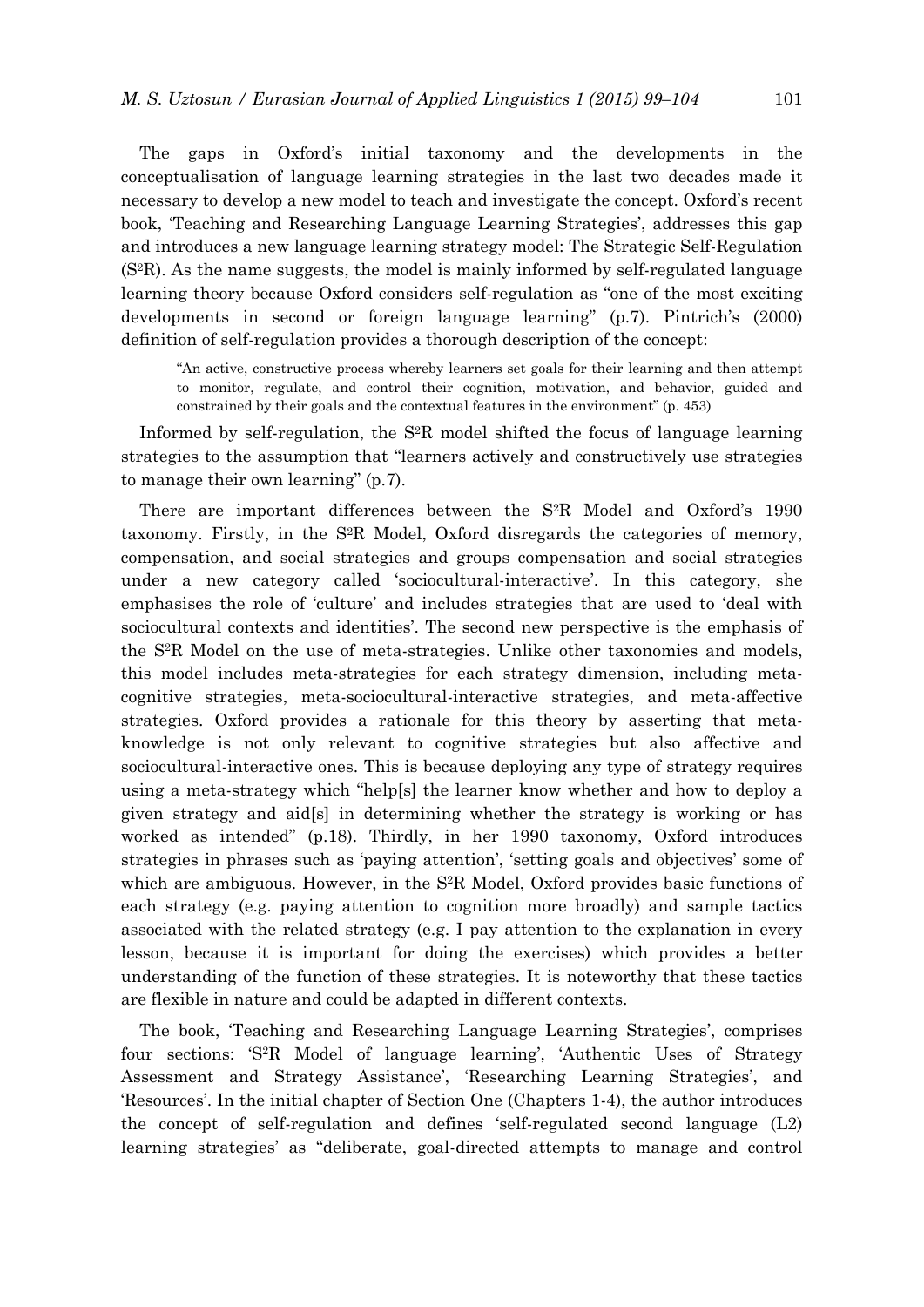The gaps in Oxford's initial taxonomy and the developments in the conceptualisation of language learning strategies in the last two decades made it necessary to develop a new model to teach and investigate the concept. Oxford's recent book, 'Teaching and Researching Language Learning Strategies', addresses this gap and introduces a new language learning strategy model: The Strategic Self-Regulation (S2R). As the name suggests, the model is mainly informed by self-regulated language learning theory because Oxford considers self-regulation as "one of the most exciting developments in second or foreign language learning" (p.7). Pintrich's (2000) definition of self-regulation provides a thorough description of the concept:

"An active, constructive process whereby learners set goals for their learning and then attempt to monitor, regulate, and control their cognition, motivation, and behavior, guided and constrained by their goals and the contextual features in the environment" (p. 453)

Informed by self-regulation, the  $S^2R$  model shifted the focus of language learning strategies to the assumption that "learners actively and constructively use strategies to manage their own learning" (p.7).

There are important differences between the S<sup>2</sup>R Model and Oxford's 1990 taxonomy. Firstly, in the S2R Model, Oxford disregards the categories of memory, compensation, and social strategies and groups compensation and social strategies under a new category called 'sociocultural-interactive'. In this category, she emphasises the role of 'culture' and includes strategies that are used to 'deal with sociocultural contexts and identities'. The second new perspective is the emphasis of the S2R Model on the use of meta-strategies. Unlike other taxonomies and models, this model includes meta-strategies for each strategy dimension, including metacognitive strategies, meta-sociocultural-interactive strategies, and meta-affective strategies. Oxford provides a rationale for this theory by asserting that metaknowledge is not only relevant to cognitive strategies but also affective and sociocultural-interactive ones. This is because deploying any type of strategy requires using a meta-strategy which "help[s] the learner know whether and how to deploy a given strategy and aid[s] in determining whether the strategy is working or has worked as intended" (p.18). Thirdly, in her 1990 taxonomy, Oxford introduces strategies in phrases such as 'paying attention', 'setting goals and objectives' some of which are ambiguous. However, in the S<sup>2</sup>R Model, Oxford provides basic functions of each strategy (e.g. paying attention to cognition more broadly) and sample tactics associated with the related strategy (e.g. I pay attention to the explanation in every lesson, because it is important for doing the exercises) which provides a better understanding of the function of these strategies. It is noteworthy that these tactics are flexible in nature and could be adapted in different contexts.

The book, 'Teaching and Researching Language Learning Strategies', comprises four sections: 'S2R Model of language learning', 'Authentic Uses of Strategy Assessment and Strategy Assistance', 'Researching Learning Strategies', and 'Resources'. In the initial chapter of Section One (Chapters 1-4), the author introduces the concept of self-regulation and defines 'self-regulated second language (L2) learning strategies' as "deliberate, goal-directed attempts to manage and control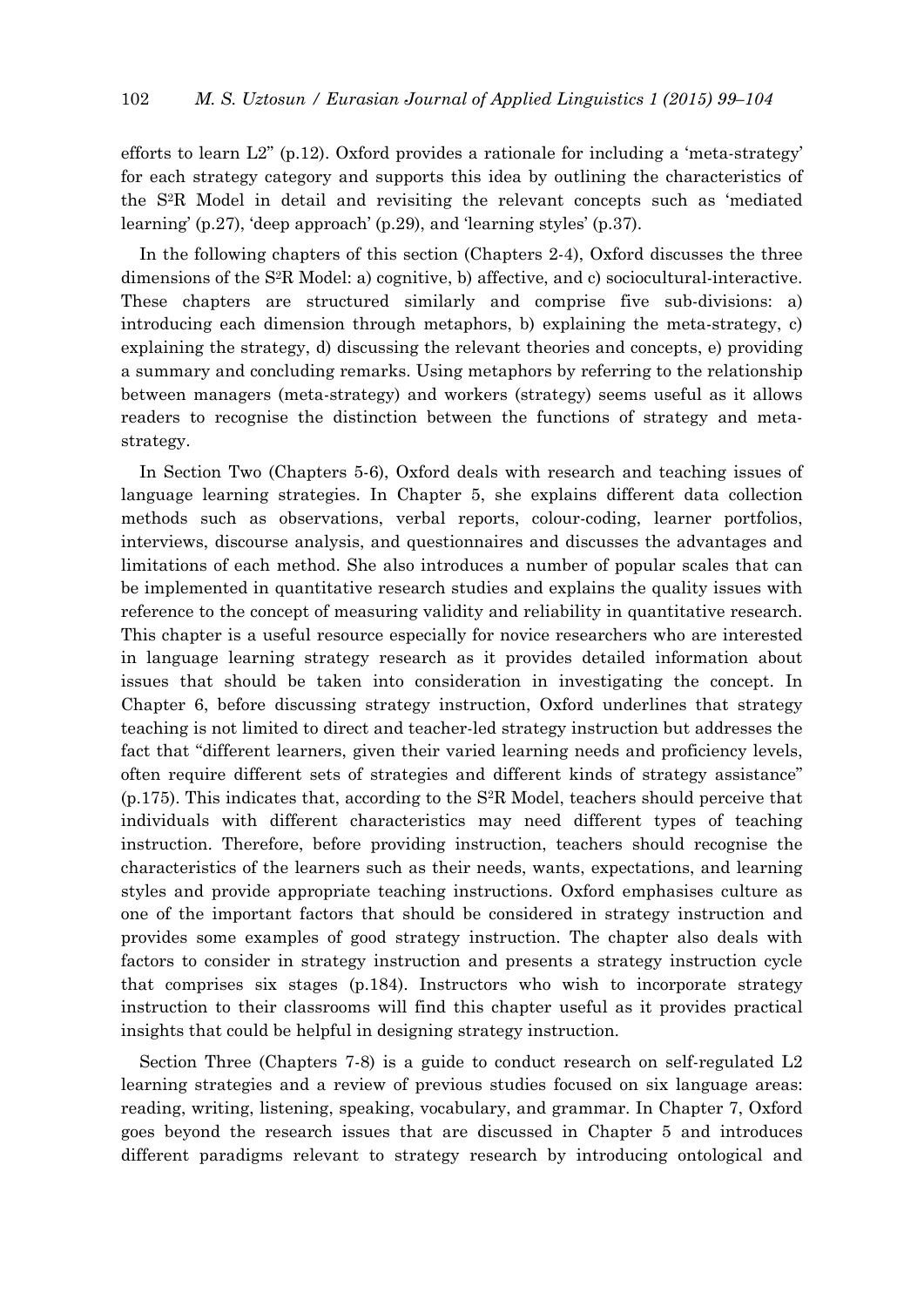efforts to learn  $L2$ " (p.12). Oxford provides a rationale for including a 'meta-strategy' for each strategy category and supports this idea by outlining the characteristics of the S2R Model in detail and revisiting the relevant concepts such as 'mediated learning' (p.27), 'deep approach' (p.29), and 'learning styles' (p.37).

In the following chapters of this section (Chapters 2-4), Oxford discusses the three dimensions of the S2R Model: a) cognitive, b) affective, and c) sociocultural-interactive. These chapters are structured similarly and comprise five sub-divisions: a) introducing each dimension through metaphors, b) explaining the meta-strategy, c) explaining the strategy, d) discussing the relevant theories and concepts, e) providing a summary and concluding remarks. Using metaphors by referring to the relationship between managers (meta-strategy) and workers (strategy) seems useful as it allows readers to recognise the distinction between the functions of strategy and metastrategy.

In Section Two (Chapters 5-6), Oxford deals with research and teaching issues of language learning strategies. In Chapter 5, she explains different data collection methods such as observations, verbal reports, colour-coding, learner portfolios, interviews, discourse analysis, and questionnaires and discusses the advantages and limitations of each method. She also introduces a number of popular scales that can be implemented in quantitative research studies and explains the quality issues with reference to the concept of measuring validity and reliability in quantitative research. This chapter is a useful resource especially for novice researchers who are interested in language learning strategy research as it provides detailed information about issues that should be taken into consideration in investigating the concept. In Chapter 6, before discussing strategy instruction, Oxford underlines that strategy teaching is not limited to direct and teacher-led strategy instruction but addresses the fact that "different learners, given their varied learning needs and proficiency levels, often require different sets of strategies and different kinds of strategy assistance" (p.175). This indicates that, according to the S2R Model, teachers should perceive that individuals with different characteristics may need different types of teaching instruction. Therefore, before providing instruction, teachers should recognise the characteristics of the learners such as their needs, wants, expectations, and learning styles and provide appropriate teaching instructions. Oxford emphasises culture as one of the important factors that should be considered in strategy instruction and provides some examples of good strategy instruction. The chapter also deals with factors to consider in strategy instruction and presents a strategy instruction cycle that comprises six stages (p.184). Instructors who wish to incorporate strategy instruction to their classrooms will find this chapter useful as it provides practical insights that could be helpful in designing strategy instruction.

Section Three (Chapters 7-8) is a guide to conduct research on self-regulated L2 learning strategies and a review of previous studies focused on six language areas: reading, writing, listening, speaking, vocabulary, and grammar. In Chapter 7, Oxford goes beyond the research issues that are discussed in Chapter 5 and introduces different paradigms relevant to strategy research by introducing ontological and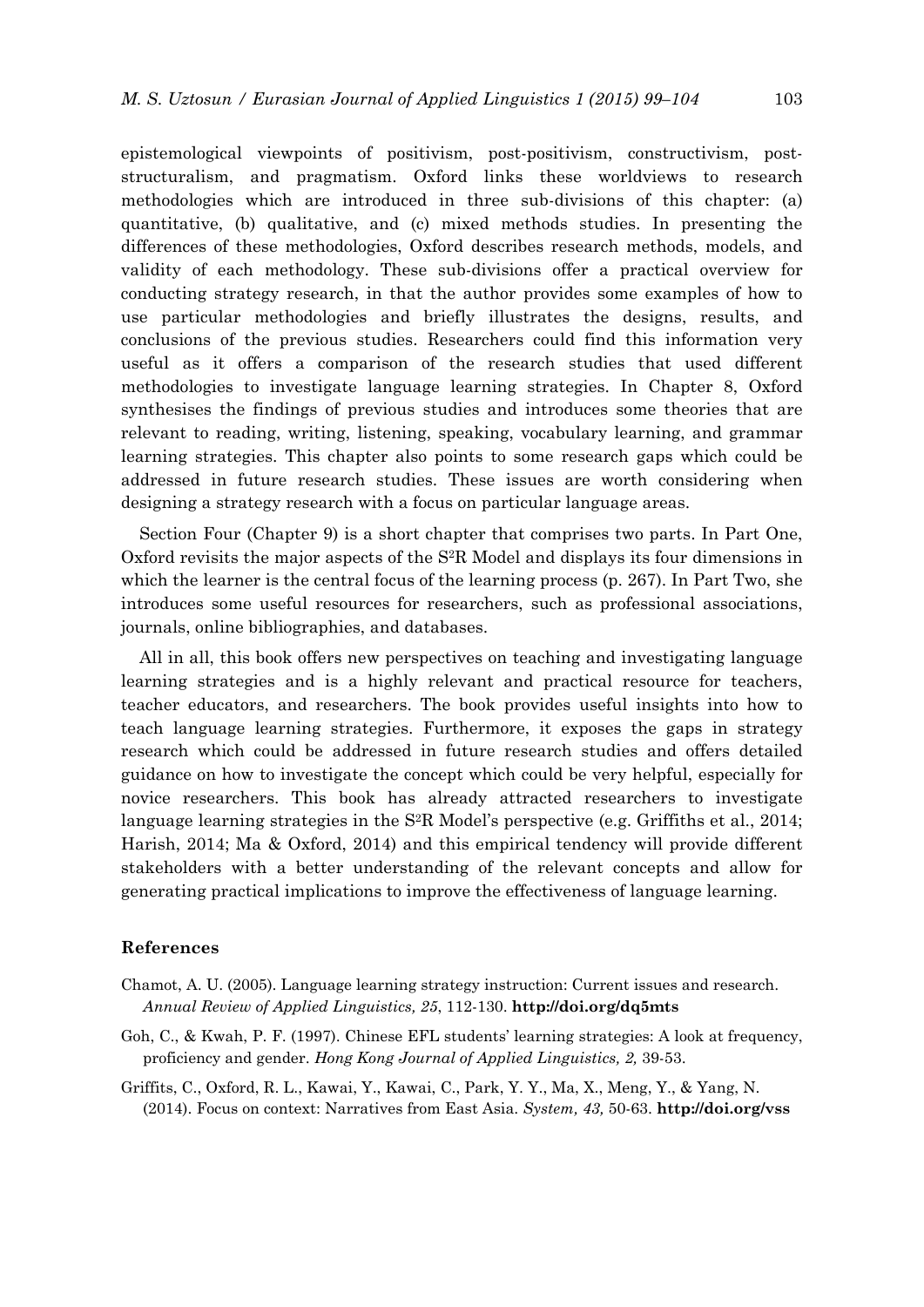epistemological viewpoints of positivism, post-positivism, constructivism, poststructuralism, and pragmatism. Oxford links these worldviews to research methodologies which are introduced in three sub-divisions of this chapter: (a) quantitative, (b) qualitative, and (c) mixed methods studies. In presenting the differences of these methodologies, Oxford describes research methods, models, and validity of each methodology. These sub-divisions offer a practical overview for conducting strategy research, in that the author provides some examples of how to use particular methodologies and briefly illustrates the designs, results, and conclusions of the previous studies. Researchers could find this information very useful as it offers a comparison of the research studies that used different methodologies to investigate language learning strategies. In Chapter 8, Oxford synthesises the findings of previous studies and introduces some theories that are relevant to reading, writing, listening, speaking, vocabulary learning, and grammar learning strategies. This chapter also points to some research gaps which could be addressed in future research studies. These issues are worth considering when designing a strategy research with a focus on particular language areas.

Section Four (Chapter 9) is a short chapter that comprises two parts. In Part One, Oxford revisits the major aspects of the S2R Model and displays its four dimensions in which the learner is the central focus of the learning process (p. 267). In Part Two, she introduces some useful resources for researchers, such as professional associations, journals, online bibliographies, and databases.

All in all, this book offers new perspectives on teaching and investigating language learning strategies and is a highly relevant and practical resource for teachers, teacher educators, and researchers. The book provides useful insights into how to teach language learning strategies. Furthermore, it exposes the gaps in strategy research which could be addressed in future research studies and offers detailed guidance on how to investigate the concept which could be very helpful, especially for novice researchers. This book has already attracted researchers to investigate language learning strategies in the S<sup>2</sup>R Model's perspective (e.g. Griffiths et al., 2014; Harish, 2014; Ma & Oxford, 2014) and this empirical tendency will provide different stakeholders with a better understanding of the relevant concepts and allow for generating practical implications to improve the effectiveness of language learning.

## **References**

- Chamot, A. U. (2005). Language learning strategy instruction: Current issues and research. *Annual Review of Applied Linguistics, 25*, 112-130. **http://doi.org/dq5mts**
- Goh, C., & Kwah, P. F. (1997). Chinese EFL students' learning strategies: A look at frequency, proficiency and gender. *Hong Kong Journal of Applied Linguistics, 2,* 39-53.
- Griffits, C., Oxford, R. L., Kawai, Y., Kawai, C., Park, Y. Y., Ma, X., Meng, Y., & Yang, N. (2014). Focus on context: Narratives from East Asia. *System, 43,* 50-63. **http://doi.org/vss**